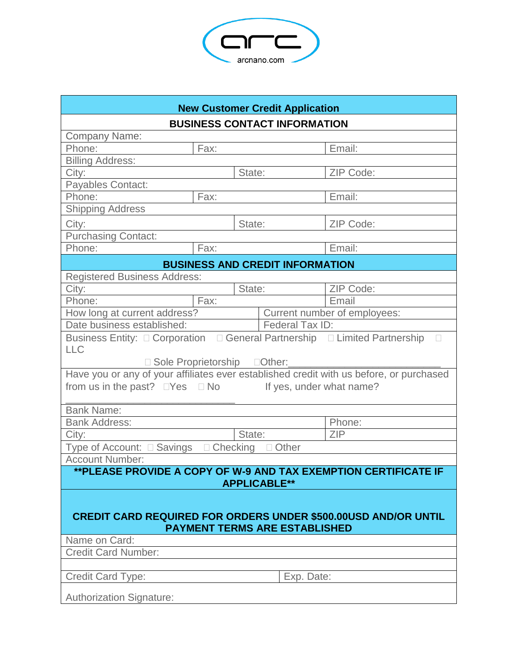

| <b>New Customer Credit Application</b>                                                                                                                                                                                                                                                                                                                                                                |      |        |                          |  |  |  |
|-------------------------------------------------------------------------------------------------------------------------------------------------------------------------------------------------------------------------------------------------------------------------------------------------------------------------------------------------------------------------------------------------------|------|--------|--------------------------|--|--|--|
| <b>BUSINESS CONTACT INFORMATION</b>                                                                                                                                                                                                                                                                                                                                                                   |      |        |                          |  |  |  |
| <b>Company Name:</b>                                                                                                                                                                                                                                                                                                                                                                                  |      |        |                          |  |  |  |
| Phone:                                                                                                                                                                                                                                                                                                                                                                                                | Fax: |        | Email:                   |  |  |  |
| <b>Billing Address:</b>                                                                                                                                                                                                                                                                                                                                                                               |      |        |                          |  |  |  |
| City:                                                                                                                                                                                                                                                                                                                                                                                                 |      | State: | ZIP Code:                |  |  |  |
| Payables Contact:                                                                                                                                                                                                                                                                                                                                                                                     |      |        |                          |  |  |  |
| Phone:                                                                                                                                                                                                                                                                                                                                                                                                | Fax: |        | Email:                   |  |  |  |
| <b>Shipping Address</b>                                                                                                                                                                                                                                                                                                                                                                               |      |        |                          |  |  |  |
| City:                                                                                                                                                                                                                                                                                                                                                                                                 |      | State: | ZIP Code:                |  |  |  |
| <b>Purchasing Contact:</b>                                                                                                                                                                                                                                                                                                                                                                            |      |        |                          |  |  |  |
| Phone:                                                                                                                                                                                                                                                                                                                                                                                                | Fax: |        | Email:                   |  |  |  |
| <b>BUSINESS AND CREDIT INFORMATION</b>                                                                                                                                                                                                                                                                                                                                                                |      |        |                          |  |  |  |
| <b>Registered Business Address:</b>                                                                                                                                                                                                                                                                                                                                                                   |      |        |                          |  |  |  |
| City:                                                                                                                                                                                                                                                                                                                                                                                                 |      | State: | ZIP Code:                |  |  |  |
| Phone:                                                                                                                                                                                                                                                                                                                                                                                                | Fax: |        | Email                    |  |  |  |
| Current number of employees:<br>How long at current address?                                                                                                                                                                                                                                                                                                                                          |      |        |                          |  |  |  |
| Date business established:<br>Federal Tax ID:                                                                                                                                                                                                                                                                                                                                                         |      |        |                          |  |  |  |
| Business Entity: □ Corporation □ General Partnership □ Limited Partnership<br>$\mathbb{R}^n$                                                                                                                                                                                                                                                                                                          |      |        |                          |  |  |  |
| <b>LLC</b>                                                                                                                                                                                                                                                                                                                                                                                            |      |        |                          |  |  |  |
| □ Sole Proprietorship □ Other:                                                                                                                                                                                                                                                                                                                                                                        |      |        |                          |  |  |  |
| Have you or any of your affiliates ever established credit with us before, or purchased                                                                                                                                                                                                                                                                                                               |      |        |                          |  |  |  |
| from us in the past? $\square$ Yes $\square$ No                                                                                                                                                                                                                                                                                                                                                       |      |        | If yes, under what name? |  |  |  |
|                                                                                                                                                                                                                                                                                                                                                                                                       |      |        |                          |  |  |  |
| <b>Bank Name:</b>                                                                                                                                                                                                                                                                                                                                                                                     |      |        |                          |  |  |  |
|                                                                                                                                                                                                                                                                                                                                                                                                       |      |        |                          |  |  |  |
|                                                                                                                                                                                                                                                                                                                                                                                                       |      |        |                          |  |  |  |
| $\Box$ Checking<br>Type of Account: □ Savings<br>Other                                                                                                                                                                                                                                                                                                                                                |      |        |                          |  |  |  |
|                                                                                                                                                                                                                                                                                                                                                                                                       |      |        |                          |  |  |  |
|                                                                                                                                                                                                                                                                                                                                                                                                       |      |        |                          |  |  |  |
|                                                                                                                                                                                                                                                                                                                                                                                                       |      |        |                          |  |  |  |
|                                                                                                                                                                                                                                                                                                                                                                                                       |      |        |                          |  |  |  |
|                                                                                                                                                                                                                                                                                                                                                                                                       |      |        |                          |  |  |  |
|                                                                                                                                                                                                                                                                                                                                                                                                       |      |        |                          |  |  |  |
|                                                                                                                                                                                                                                                                                                                                                                                                       |      |        |                          |  |  |  |
|                                                                                                                                                                                                                                                                                                                                                                                                       |      |        |                          |  |  |  |
|                                                                                                                                                                                                                                                                                                                                                                                                       |      |        |                          |  |  |  |
| Credit Card Type:                                                                                                                                                                                                                                                                                                                                                                                     |      |        |                          |  |  |  |
|                                                                                                                                                                                                                                                                                                                                                                                                       |      |        |                          |  |  |  |
| <b>Bank Address:</b><br>Phone:<br><b>ZIP</b><br>City:<br>State:<br><b>Account Number:</b><br>** PLEASE PROVIDE A COPY OF W-9 AND TAX EXEMPTION CERTIFICATE IF<br><b>APPLICABLE**</b><br><b>CREDIT CARD REQUIRED FOR ORDERS UNDER \$500.00USD AND/OR UNTIL</b><br><b>PAYMENT TERMS ARE ESTABLISHED</b><br>Name on Card:<br><b>Credit Card Number:</b><br>Exp. Date:<br><b>Authorization Signature:</b> |      |        |                          |  |  |  |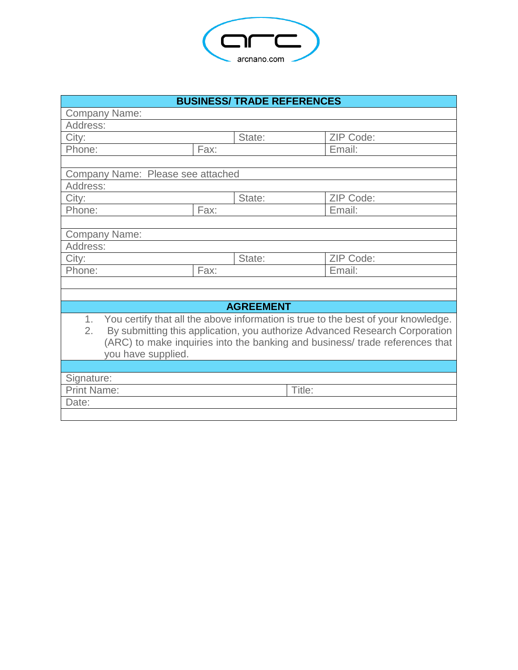

| <b>BUSINESS/ TRADE REFERENCES</b>                                                                                                                                                                                                                                                                            |      |        |           |  |  |  |
|--------------------------------------------------------------------------------------------------------------------------------------------------------------------------------------------------------------------------------------------------------------------------------------------------------------|------|--------|-----------|--|--|--|
| <b>Company Name:</b>                                                                                                                                                                                                                                                                                         |      |        |           |  |  |  |
| Address:                                                                                                                                                                                                                                                                                                     |      |        |           |  |  |  |
| City:                                                                                                                                                                                                                                                                                                        |      | State: | ZIP Code: |  |  |  |
| Phone:                                                                                                                                                                                                                                                                                                       | Fax: |        | Email:    |  |  |  |
|                                                                                                                                                                                                                                                                                                              |      |        |           |  |  |  |
| Company Name: Please see attached                                                                                                                                                                                                                                                                            |      |        |           |  |  |  |
| Address:                                                                                                                                                                                                                                                                                                     |      |        |           |  |  |  |
| City:                                                                                                                                                                                                                                                                                                        |      | State: | ZIP Code: |  |  |  |
| Phone:                                                                                                                                                                                                                                                                                                       | Fax: |        | Email:    |  |  |  |
|                                                                                                                                                                                                                                                                                                              |      |        |           |  |  |  |
| <b>Company Name:</b>                                                                                                                                                                                                                                                                                         |      |        |           |  |  |  |
| Address:                                                                                                                                                                                                                                                                                                     |      |        |           |  |  |  |
| City:                                                                                                                                                                                                                                                                                                        |      | State: | ZIP Code: |  |  |  |
| Phone:                                                                                                                                                                                                                                                                                                       | Fax: |        | Email:    |  |  |  |
|                                                                                                                                                                                                                                                                                                              |      |        |           |  |  |  |
|                                                                                                                                                                                                                                                                                                              |      |        |           |  |  |  |
| <b>AGREEMENT</b>                                                                                                                                                                                                                                                                                             |      |        |           |  |  |  |
| You certify that all the above information is true to the best of your knowledge.<br>1 <sub>1</sub><br>$\overline{2}$ .<br>By submitting this application, you authorize Advanced Research Corporation<br>(ARC) to make inquiries into the banking and business/ trade references that<br>you have supplied. |      |        |           |  |  |  |
|                                                                                                                                                                                                                                                                                                              |      |        |           |  |  |  |
| Signature:                                                                                                                                                                                                                                                                                                   |      |        |           |  |  |  |
| <b>Print Name:</b>                                                                                                                                                                                                                                                                                           |      | Title: |           |  |  |  |
| Date:                                                                                                                                                                                                                                                                                                        |      |        |           |  |  |  |
|                                                                                                                                                                                                                                                                                                              |      |        |           |  |  |  |